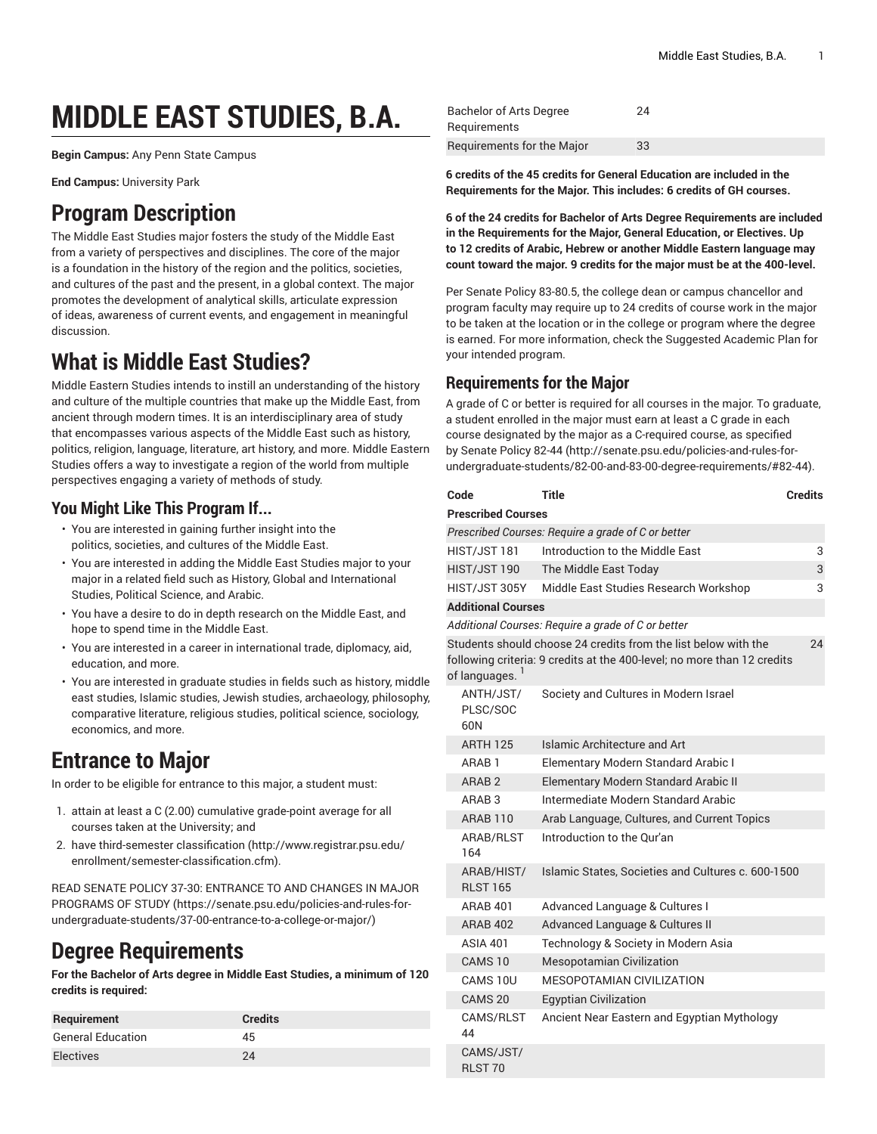# **MIDDLE EAST STUDIES, B.A.**

**Begin Campus:** Any Penn State Campus

**End Campus:** University Park

## **Program Description**

The Middle East Studies major fosters the study of the Middle East from a variety of perspectives and disciplines. The core of the major is a foundation in the history of the region and the politics, societies, and cultures of the past and the present, in a global context. The major promotes the development of analytical skills, articulate expression of ideas, awareness of current events, and engagement in meaningful discussion.

# **What is Middle East Studies?**

Middle Eastern Studies intends to instill an understanding of the history and culture of the multiple countries that make up the Middle East, from ancient through modern times. It is an interdisciplinary area of study that encompasses various aspects of the Middle East such as history, politics, religion, language, literature, art history, and more. Middle Eastern Studies offers a way to investigate a region of the world from multiple perspectives engaging a variety of methods of study.

### **You Might Like This Program If...**

- You are interested in gaining further insight into the politics, societies, and cultures of the Middle East.
- You are interested in adding the Middle East Studies major to your major in a related field such as History, Global and International Studies, Political Science, and Arabic.
- You have a desire to do in depth research on the Middle East, and hope to spend time in the Middle East.
- You are interested in a career in international trade, diplomacy, aid, education, and more.
- You are interested in graduate studies in fields such as history, middle east studies, Islamic studies, Jewish studies, archaeology, philosophy, comparative literature, religious studies, political science, sociology, economics, and more.

# **Entrance to Major**

In order to be eligible for entrance to this major, a student must:

- 1. attain at least a C (2.00) cumulative grade-point average for all courses taken at the University; and
- 2. have [third-semester](http://www.registrar.psu.edu/enrollment/semester-classification.cfm) classification ([http://www.registrar.psu.edu/](http://www.registrar.psu.edu/enrollment/semester-classification.cfm) [enrollment/semester-classification.cfm\)](http://www.registrar.psu.edu/enrollment/semester-classification.cfm).

READ SENATE POLICY 37-30: [ENTRANCE](https://senate.psu.edu/policies-and-rules-for-undergraduate-students/37-00-entrance-to-a-college-or-major/) TO AND CHANGES IN MAJOR [PROGRAMS](https://senate.psu.edu/policies-and-rules-for-undergraduate-students/37-00-entrance-to-a-college-or-major/) OF STUDY ([https://senate.psu.edu/policies-and-rules-for](https://senate.psu.edu/policies-and-rules-for-undergraduate-students/37-00-entrance-to-a-college-or-major/)[undergraduate-students/37-00-entrance-to-a-college-or-major/\)](https://senate.psu.edu/policies-and-rules-for-undergraduate-students/37-00-entrance-to-a-college-or-major/)

# **Degree Requirements**

**For the Bachelor of Arts degree in Middle East Studies, a minimum of 120 credits is required:**

| Requirement              | <b>Credits</b> |
|--------------------------|----------------|
| <b>General Education</b> | 45             |
| <b>Electives</b>         | 24             |

| Bachelor of Arts Degree    | 24 |
|----------------------------|----|
| Requirements               |    |
| Requirements for the Major | 33 |

**6 credits of the 45 credits for General Education are included in the Requirements for the Major. This includes: 6 credits of GH courses.**

**6 of the 24 credits for Bachelor of Arts Degree Requirements are included in the Requirements for the Major, General Education, or Electives. Up to 12 credits of Arabic, Hebrew or another Middle Eastern language may count toward the major. 9 credits for the major must be at the 400-level.**

Per Senate Policy 83-80.5, the college dean or campus chancellor and program faculty may require up to 24 credits of course work in the major to be taken at the location or in the college or program where the degree is earned. For more information, check the Suggested Academic Plan for your intended program.

### **Requirements for the Major**

A grade of C or better is required for all courses in the major. To graduate, a student enrolled in the major must earn at least a C grade in each course designated by the major as a C-required course, as specified by [Senate](http://senate.psu.edu/policies-and-rules-for-undergraduate-students/82-00-and-83-00-degree-requirements/#82-44) Policy 82-44 ([http://senate.psu.edu/policies-and-rules-for](http://senate.psu.edu/policies-and-rules-for-undergraduate-students/82-00-and-83-00-degree-requirements/#82-44)[undergraduate-students/82-00-and-83-00-degree-requirements/#82-44](http://senate.psu.edu/policies-and-rules-for-undergraduate-students/82-00-and-83-00-degree-requirements/#82-44)).

| Code                                                                                                                                                             | <b>Title</b>                                       | Credits |  |  |
|------------------------------------------------------------------------------------------------------------------------------------------------------------------|----------------------------------------------------|---------|--|--|
| <b>Prescribed Courses</b>                                                                                                                                        |                                                    |         |  |  |
| Prescribed Courses: Require a grade of C or better                                                                                                               |                                                    |         |  |  |
| HIST/JST 181                                                                                                                                                     | Introduction to the Middle Fast                    | 3       |  |  |
| HIST/JST 190                                                                                                                                                     | The Middle East Today                              | 3       |  |  |
| HIST/JST 305Y                                                                                                                                                    | Middle East Studies Research Workshop              | 3       |  |  |
| <b>Additional Courses</b>                                                                                                                                        |                                                    |         |  |  |
|                                                                                                                                                                  | Additional Courses: Require a grade of C or better |         |  |  |
| Students should choose 24 credits from the list below with the<br>24<br>following criteria: 9 credits at the 400-level; no more than 12 credits<br>of languages. |                                                    |         |  |  |
| ANTH/JST/<br>PLSC/SOC<br>60N                                                                                                                                     | Society and Cultures in Modern Israel              |         |  |  |
| <b>ARTH 125</b>                                                                                                                                                  | Islamic Architecture and Art                       |         |  |  |
| ARAB <sub>1</sub>                                                                                                                                                | Elementary Modern Standard Arabic I                |         |  |  |
| ARAB <sub>2</sub>                                                                                                                                                | Elementary Modern Standard Arabic II               |         |  |  |
| ARAB <sub>3</sub>                                                                                                                                                | Intermediate Modern Standard Arabic                |         |  |  |
| <b>ARAB 110</b>                                                                                                                                                  | Arab Language, Cultures, and Current Topics        |         |  |  |
| ARAB/RLST<br>164                                                                                                                                                 | Introduction to the Qur'an                         |         |  |  |
| ARAB/HIST/<br><b>RLST 165</b>                                                                                                                                    | Islamic States, Societies and Cultures c. 600-1500 |         |  |  |
| <b>ARAB 401</b>                                                                                                                                                  | Advanced Language & Cultures I                     |         |  |  |
| <b>ARAB 402</b>                                                                                                                                                  | Advanced Language & Cultures II                    |         |  |  |
| <b>ASIA 401</b>                                                                                                                                                  | Technology & Society in Modern Asia                |         |  |  |
| CAMS <sub>10</sub>                                                                                                                                               | <b>Mesopotamian Civilization</b>                   |         |  |  |
| CAMS 10U                                                                                                                                                         | MESOPOTAMIAN CIVILIZATION                          |         |  |  |
| CAMS 20                                                                                                                                                          | <b>Egyptian Civilization</b>                       |         |  |  |
| CAMS/RLST<br>44                                                                                                                                                  | Ancient Near Eastern and Egyptian Mythology        |         |  |  |
| CAMS/JST/<br>RLST <sub>70</sub>                                                                                                                                  |                                                    |         |  |  |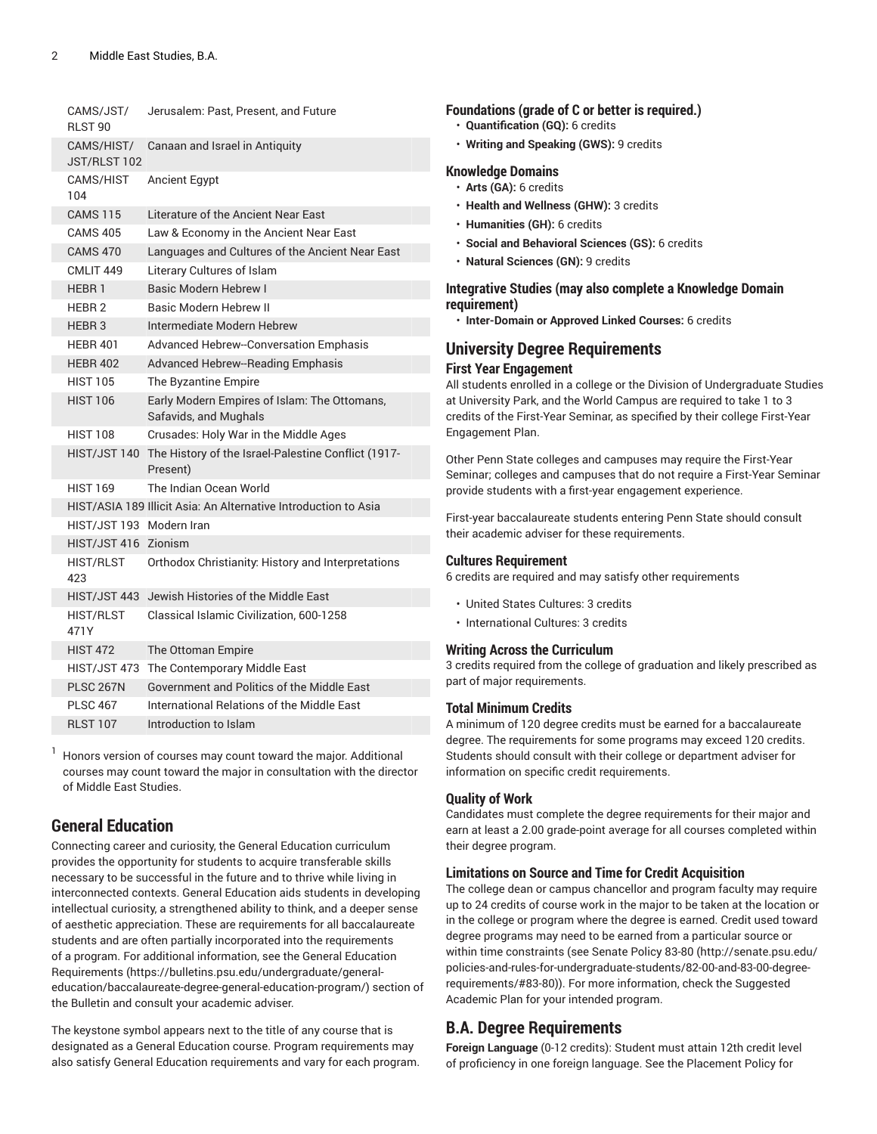| CAMS/JST/<br>RLST 90       | Jerusalem: Past, Present, and Future                                  |
|----------------------------|-----------------------------------------------------------------------|
| CAMS/HIST/<br>JST/RLST 102 | Canaan and Israel in Antiquity                                        |
| CAMS/HIST<br>104           | <b>Ancient Egypt</b>                                                  |
| <b>CAMS 115</b>            | Literature of the Ancient Near East                                   |
| <b>CAMS 405</b>            | Law & Economy in the Ancient Near East                                |
| <b>CAMS 470</b>            | Languages and Cultures of the Ancient Near East                       |
| CMLIT <sub>449</sub>       | Literary Cultures of Islam                                            |
| <b>HEBR1</b>               | <b>Basic Modern Hebrew I</b>                                          |
| HEBR <sub>2</sub>          | Basic Modern Hebrew II                                                |
| HEBR <sub>3</sub>          | Intermediate Modern Hebrew                                            |
| <b>HEBR 401</b>            | Advanced Hebrew--Conversation Emphasis                                |
| <b>HEBR 402</b>            | Advanced Hebrew--Reading Emphasis                                     |
| <b>HIST 105</b>            | The Byzantine Empire                                                  |
| <b>HIST 106</b>            | Early Modern Empires of Islam: The Ottomans,<br>Safavids, and Mughals |
| <b>HIST 108</b>            | Crusades: Holy War in the Middle Ages                                 |
| HIST/JST 140               | The History of the Israel-Palestine Conflict (1917-<br>Present)       |
| <b>HIST 169</b>            | The Indian Ocean World                                                |
|                            | HIST/ASIA 189 Illicit Asia: An Alternative Introduction to Asia       |
| HIST/JST 193 Modern Iran   |                                                                       |
| HIST/JST 416 Zionism       |                                                                       |
| <b>HIST/RLST</b><br>423    | Orthodox Christianity: History and Interpretations                    |
| HIST/JST 443               | Jewish Histories of the Middle East                                   |
| <b>HIST/RLST</b><br>471Y   | Classical Islamic Civilization, 600-1258                              |
| <b>HIST 472</b>            | The Ottoman Empire                                                    |
| HIST/JST 473               | The Contemporary Middle East                                          |
| <b>PLSC 267N</b>           | Government and Politics of the Middle East                            |
| <b>PLSC 467</b>            | International Relations of the Middle Fast                            |
| <b>RLST 107</b>            | Introduction to Islam                                                 |

<sup>1</sup> Honors version of courses may count toward the major. Additional courses may count toward the major in consultation with the director of Middle East Studies.

### **General Education**

Connecting career and curiosity, the General Education curriculum provides the opportunity for students to acquire transferable skills necessary to be successful in the future and to thrive while living in interconnected contexts. General Education aids students in developing intellectual curiosity, a strengthened ability to think, and a deeper sense of aesthetic appreciation. These are requirements for all baccalaureate students and are often partially incorporated into the requirements of a program. For additional information, see the General [Education](https://bulletins.psu.edu/undergraduate/general-education/baccalaureate-degree-general-education-program/) [Requirements](https://bulletins.psu.edu/undergraduate/general-education/baccalaureate-degree-general-education-program/) ([https://bulletins.psu.edu/undergraduate/general](https://bulletins.psu.edu/undergraduate/general-education/baccalaureate-degree-general-education-program/)[education/baccalaureate-degree-general-education-program/\)](https://bulletins.psu.edu/undergraduate/general-education/baccalaureate-degree-general-education-program/) section of the Bulletin and consult your academic adviser.

The keystone symbol appears next to the title of any course that is designated as a General Education course. Program requirements may also satisfy General Education requirements and vary for each program.

#### **Foundations (grade of C or better is required.)**

- **Quantification (GQ):** 6 credits
- **Writing and Speaking (GWS):** 9 credits

#### **Knowledge Domains**

• **Arts (GA):** 6 credits

- **Health and Wellness (GHW):** 3 credits
- **Humanities (GH):** 6 credits
- **Social and Behavioral Sciences (GS):** 6 credits
- **Natural Sciences (GN):** 9 credits

#### **Integrative Studies (may also complete a Knowledge Domain requirement)**

• **Inter-Domain or Approved Linked Courses:** 6 credits

### **University Degree Requirements**

#### **First Year Engagement**

All students enrolled in a college or the Division of Undergraduate Studies at University Park, and the World Campus are required to take 1 to 3 credits of the First-Year Seminar, as specified by their college First-Year Engagement Plan.

Other Penn State colleges and campuses may require the First-Year Seminar; colleges and campuses that do not require a First-Year Seminar provide students with a first-year engagement experience.

First-year baccalaureate students entering Penn State should consult their academic adviser for these requirements.

#### **Cultures Requirement**

6 credits are required and may satisfy other requirements

- United States Cultures: 3 credits
- International Cultures: 3 credits

#### **Writing Across the Curriculum**

3 credits required from the college of graduation and likely prescribed as part of major requirements.

#### **Total Minimum Credits**

A minimum of 120 degree credits must be earned for a baccalaureate degree. The requirements for some programs may exceed 120 credits. Students should consult with their college or department adviser for information on specific credit requirements.

#### **Quality of Work**

Candidates must complete the degree requirements for their major and earn at least a 2.00 grade-point average for all courses completed within their degree program.

#### **Limitations on Source and Time for Credit Acquisition**

The college dean or campus chancellor and program faculty may require up to 24 credits of course work in the major to be taken at the location or in the college or program where the degree is earned. Credit used toward degree programs may need to be earned from a particular source or within time constraints (see [Senate](http://senate.psu.edu/policies-and-rules-for-undergraduate-students/82-00-and-83-00-degree-requirements/#83-80) Policy 83-80 [\(http://senate.psu.edu/](http://senate.psu.edu/policies-and-rules-for-undergraduate-students/82-00-and-83-00-degree-requirements/#83-80) [policies-and-rules-for-undergraduate-students/82-00-and-83-00-degree](http://senate.psu.edu/policies-and-rules-for-undergraduate-students/82-00-and-83-00-degree-requirements/#83-80)[requirements/#83-80](http://senate.psu.edu/policies-and-rules-for-undergraduate-students/82-00-and-83-00-degree-requirements/#83-80))). For more information, check the Suggested Academic Plan for your intended program.

#### **B.A. Degree Requirements**

**Foreign Language** (0-12 credits): Student must attain 12th credit level of proficiency in one foreign language. See the [Placement](https://bulletins.psu.edu/undergraduate/general-information/academic-information/advising-planning-degree-program/course-placements/placement-policy-world-language-courses/) Policy for